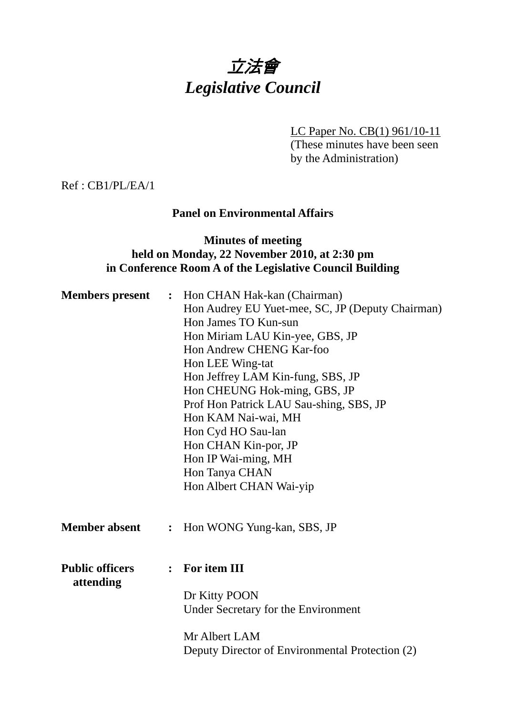# 立法會 *Legislative Council*

LC Paper No. CB(1) 961/10-11

(These minutes have been seen by the Administration)

Ref : CB1/PL/EA/1

# **Panel on Environmental Affairs**

# **Minutes of meeting held on Monday, 22 November 2010, at 2:30 pm in Conference Room A of the Legislative Council Building**

| <b>Members</b> present              | $\ddot{\cdot}$ | Hon CHAN Hak-kan (Chairman)<br>Hon Audrey EU Yuet-mee, SC, JP (Deputy Chairman)<br>Hon James TO Kun-sun<br>Hon Miriam LAU Kin-yee, GBS, JP<br>Hon Andrew CHENG Kar-foo<br>Hon LEE Wing-tat<br>Hon Jeffrey LAM Kin-fung, SBS, JP<br>Hon CHEUNG Hok-ming, GBS, JP<br>Prof Hon Patrick LAU Sau-shing, SBS, JP<br>Hon KAM Nai-wai, MH<br>Hon Cyd HO Sau-lan<br>Hon CHAN Kin-por, JP<br>Hon IP Wai-ming, MH<br>Hon Tanya CHAN<br>Hon Albert CHAN Wai-yip |
|-------------------------------------|----------------|-----------------------------------------------------------------------------------------------------------------------------------------------------------------------------------------------------------------------------------------------------------------------------------------------------------------------------------------------------------------------------------------------------------------------------------------------------|
| <b>Member absent</b>                | $\ddot{\cdot}$ | Hon WONG Yung-kan, SBS, JP                                                                                                                                                                                                                                                                                                                                                                                                                          |
| <b>Public officers</b><br>attending | $\ddot{\cdot}$ | For item III<br>Dr Kitty POON<br>Under Secretary for the Environment<br>Mr Albert LAM<br>Deputy Director of Environmental Protection (2)                                                                                                                                                                                                                                                                                                            |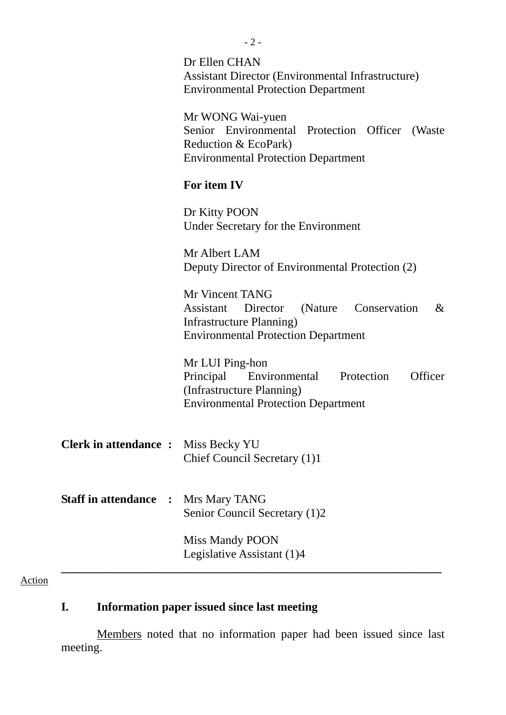|                                              | $-2-$                                                                                                                                                     |
|----------------------------------------------|-----------------------------------------------------------------------------------------------------------------------------------------------------------|
|                                              | Dr Ellen CHAN<br><b>Assistant Director (Environmental Infrastructure)</b><br><b>Environmental Protection Department</b>                                   |
|                                              | Mr WONG Wai-yuen<br>Senior Environmental Protection Officer<br>(Waste)<br>Reduction & EcoPark)<br><b>Environmental Protection Department</b>              |
|                                              | For item IV                                                                                                                                               |
|                                              | Dr Kitty POON<br>Under Secretary for the Environment                                                                                                      |
|                                              | Mr Albert LAM<br>Deputy Director of Environmental Protection (2)                                                                                          |
|                                              | Mr Vincent TANG<br>Director<br>(Nature Conservation<br>$\&$<br><b>Assistant</b><br>Infrastructure Planning)<br><b>Environmental Protection Department</b> |
|                                              | Mr LUI Ping-hon<br>Officer<br>Principal Environmental<br>Protection<br>(Infrastructure Planning)<br><b>Environmental Protection Department</b>            |
| <b>Clerk in attendance :</b> Miss Becky YU   | Chief Council Secretary (1)1                                                                                                                              |
| <b>Staff in attendance</b><br>$\ddot{\cdot}$ | Mrs Mary TANG<br>Senior Council Secretary (1)2                                                                                                            |
|                                              | Miss Mandy POON<br>Legislative Assistant (1)4                                                                                                             |

#### Action

# **I. Information paper issued since last meeting**

 Members noted that no information paper had been issued since last meeting.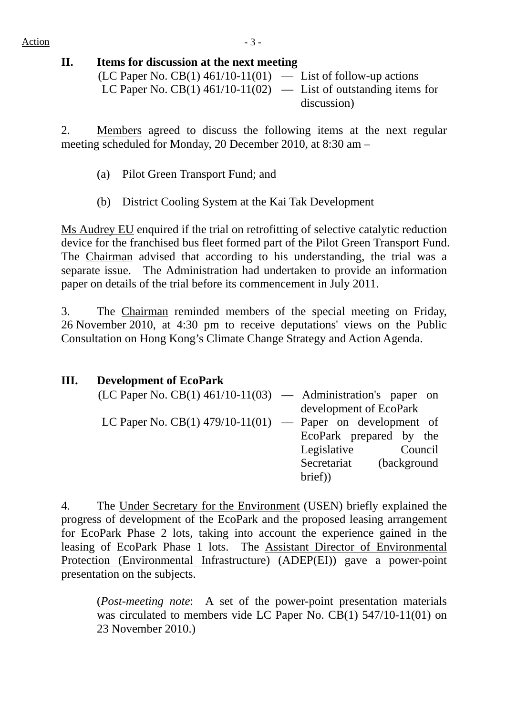Action  $-3$  -

# **II. Items for discussion at the next meeting**

| (LC Paper No. CB(1) $461/10-11(01)$ — List of follow-up actions    |             |
|--------------------------------------------------------------------|-------------|
| LC Paper No. CB(1) $461/10-11(02)$ — List of outstanding items for |             |
|                                                                    | discussion) |

2. Members agreed to discuss the following items at the next regular meeting scheduled for Monday, 20 December 2010, at 8:30 am –

- (a) Pilot Green Transport Fund; and
- (b)District Cooling System at the Kai Tak Development

Ms Audrey EU enquired if the trial on retrofitting of selective catalytic reduction device for the franchised bus fleet formed part of the Pilot Green Transport Fund. The Chairman advised that according to his understanding, the trial was a separate issue. The Administration had undertaken to provide an information paper on details of the trial before its commencement in July 2011.

3. The Chairman reminded members of the special meeting on Friday, 26 November 2010, at 4:30 pm to receive deputations' views on the Public Consultation on Hong Kong's Climate Change Strategy and Action Agenda.

| Ш. | <b>Development of EcoPark</b>                                     |                         |         |  |
|----|-------------------------------------------------------------------|-------------------------|---------|--|
|    | $(LC$ Paper No. $CB(1)$ 461/10-11(03) — Administration's paper on |                         |         |  |
|    |                                                                   | development of EcoPark  |         |  |
|    | LC Paper No. CB(1) 479/10-11(01) — Paper on development of        |                         |         |  |
|    |                                                                   | EcoPark prepared by the |         |  |
|    |                                                                   | Legislative             | Council |  |
|    |                                                                   | Secretariat (background |         |  |
|    |                                                                   | brief)                  |         |  |

4. The Under Secretary for the Environment (USEN) briefly explained the progress of development of the EcoPark and the proposed leasing arrangement for EcoPark Phase 2 lots, taking into account the experience gained in the leasing of EcoPark Phase 1 lots. The Assistant Director of Environmental Protection (Environmental Infrastructure) (ADEP(EI)) gave a power-point presentation on the subjects.

(*Post-meeting note*: A set of the power-point presentation materials was circulated to members vide LC Paper No. CB(1) 547/10-11(01) on 23 November 2010.)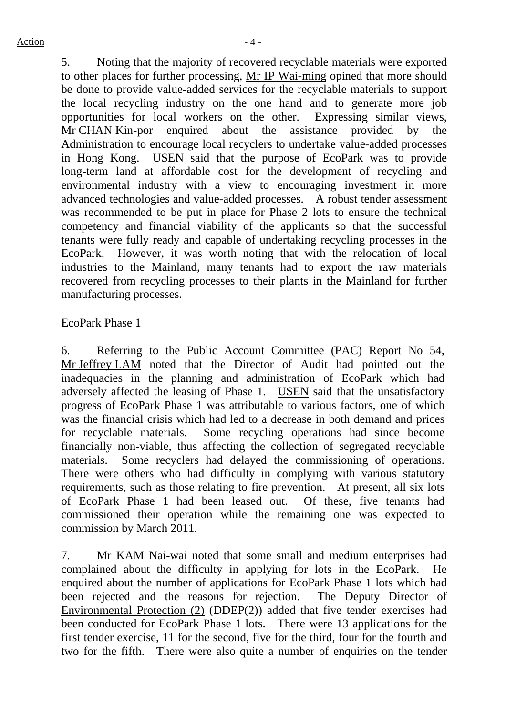5. Noting that the majority of recovered recyclable materials were exported to other places for further processing, Mr IP Wai-ming opined that more should be done to provide value-added services for the recyclable materials to support the local recycling industry on the one hand and to generate more job opportunities for local workers on the other. Expressing similar views, Mr CHAN Kin-por enquired about the assistance provided by the Administration to encourage local recyclers to undertake value-added processes in Hong Kong. USEN said that the purpose of EcoPark was to provide long-term land at affordable cost for the development of recycling and environmental industry with a view to encouraging investment in more advanced technologies and value-added processes. A robust tender assessment was recommended to be put in place for Phase 2 lots to ensure the technical competency and financial viability of the applicants so that the successful tenants were fully ready and capable of undertaking recycling processes in the EcoPark. However, it was worth noting that with the relocation of local industries to the Mainland, many tenants had to export the raw materials recovered from recycling processes to their plants in the Mainland for further manufacturing processes.

#### EcoPark Phase 1

6. Referring to the Public Account Committee (PAC) Report No 54, Mr Jeffrey LAM noted that the Director of Audit had pointed out the inadequacies in the planning and administration of EcoPark which had adversely affected the leasing of Phase 1. USEN said that the unsatisfactory progress of EcoPark Phase 1 was attributable to various factors, one of which was the financial crisis which had led to a decrease in both demand and prices for recyclable materials. Some recycling operations had since become financially non-viable, thus affecting the collection of segregated recyclable materials. Some recyclers had delayed the commissioning of operations. There were others who had difficulty in complying with various statutory requirements, such as those relating to fire prevention. At present, all six lots of EcoPark Phase 1 had been leased out. Of these, five tenants had commissioned their operation while the remaining one was expected to commission by March 2011.

7. Mr KAM Nai-wai noted that some small and medium enterprises had complained about the difficulty in applying for lots in the EcoPark. He enquired about the number of applications for EcoPark Phase 1 lots which had been rejected and the reasons for rejection. The Deputy Director of Environmental Protection (2) (DDEP(2)) added that five tender exercises had been conducted for EcoPark Phase 1 lots. There were 13 applications for the first tender exercise, 11 for the second, five for the third, four for the fourth and two for the fifth. There were also quite a number of enquiries on the tender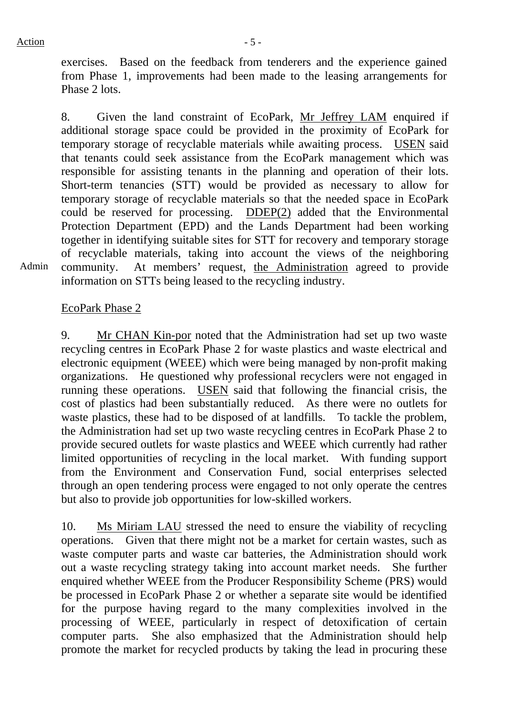exercises. Based on the feedback from tenderers and the experience gained from Phase 1, improvements had been made to the leasing arrangements for Phase 2 lots.

8. Given the land constraint of EcoPark, Mr Jeffrey LAM enquired if additional storage space could be provided in the proximity of EcoPark for temporary storage of recyclable materials while awaiting process. USEN said that tenants could seek assistance from the EcoPark management which was responsible for assisting tenants in the planning and operation of their lots. Short-term tenancies (STT) would be provided as necessary to allow for temporary storage of recyclable materials so that the needed space in EcoPark could be reserved for processing. DDEP(2) added that the Environmental Protection Department (EPD) and the Lands Department had been working together in identifying suitable sites for STT for recovery and temporary storage of recyclable materials, taking into account the views of the neighboring community. At members' request, the Administration agreed to provide information on STTs being leased to the recycling industry.

Admin

## EcoPark Phase 2

9. Mr CHAN Kin-por noted that the Administration had set up two waste recycling centres in EcoPark Phase 2 for waste plastics and waste electrical and electronic equipment (WEEE) which were being managed by non-profit making organizations. He questioned why professional recyclers were not engaged in running these operations. USEN said that following the financial crisis, the cost of plastics had been substantially reduced. As there were no outlets for waste plastics, these had to be disposed of at landfills. To tackle the problem, the Administration had set up two waste recycling centres in EcoPark Phase 2 to provide secured outlets for waste plastics and WEEE which currently had rather limited opportunities of recycling in the local market. With funding support from the Environment and Conservation Fund, social enterprises selected through an open tendering process were engaged to not only operate the centres but also to provide job opportunities for low-skilled workers.

10. Ms Miriam LAU stressed the need to ensure the viability of recycling operations. Given that there might not be a market for certain wastes, such as waste computer parts and waste car batteries, the Administration should work out a waste recycling strategy taking into account market needs. She further enquired whether WEEE from the Producer Responsibility Scheme (PRS) would be processed in EcoPark Phase 2 or whether a separate site would be identified for the purpose having regard to the many complexities involved in the processing of WEEE, particularly in respect of detoxification of certain computer parts. She also emphasized that the Administration should help promote the market for recycled products by taking the lead in procuring these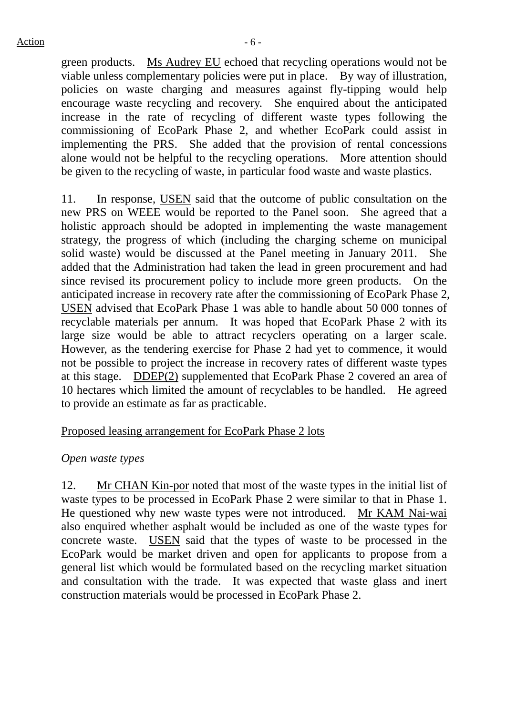green products. Ms Audrey EU echoed that recycling operations would not be viable unless complementary policies were put in place. By way of illustration, policies on waste charging and measures against fly-tipping would help encourage waste recycling and recovery. She enquired about the anticipated increase in the rate of recycling of different waste types following the commissioning of EcoPark Phase 2, and whether EcoPark could assist in implementing the PRS. She added that the provision of rental concessions alone would not be helpful to the recycling operations. More attention should be given to the recycling of waste, in particular food waste and waste plastics.

11. In response, USEN said that the outcome of public consultation on the new PRS on WEEE would be reported to the Panel soon. She agreed that a holistic approach should be adopted in implementing the waste management strategy, the progress of which (including the charging scheme on municipal solid waste) would be discussed at the Panel meeting in January 2011. She added that the Administration had taken the lead in green procurement and had since revised its procurement policy to include more green products. On the anticipated increase in recovery rate after the commissioning of EcoPark Phase 2, USEN advised that EcoPark Phase 1 was able to handle about 50 000 tonnes of recyclable materials per annum. It was hoped that EcoPark Phase 2 with its large size would be able to attract recyclers operating on a larger scale. However, as the tendering exercise for Phase 2 had yet to commence, it would not be possible to project the increase in recovery rates of different waste types at this stage. DDEP(2) supplemented that EcoPark Phase 2 covered an area of 10 hectares which limited the amount of recyclables to be handled. He agreed to provide an estimate as far as practicable.

#### Proposed leasing arrangement for EcoPark Phase 2 lots

#### *Open waste types*

12. Mr CHAN Kin-por noted that most of the waste types in the initial list of waste types to be processed in EcoPark Phase 2 were similar to that in Phase 1. He questioned why new waste types were not introduced. Mr KAM Nai-wai also enquired whether asphalt would be included as one of the waste types for concrete waste. USEN said that the types of waste to be processed in the EcoPark would be market driven and open for applicants to propose from a general list which would be formulated based on the recycling market situation and consultation with the trade. It was expected that waste glass and inert construction materials would be processed in EcoPark Phase 2.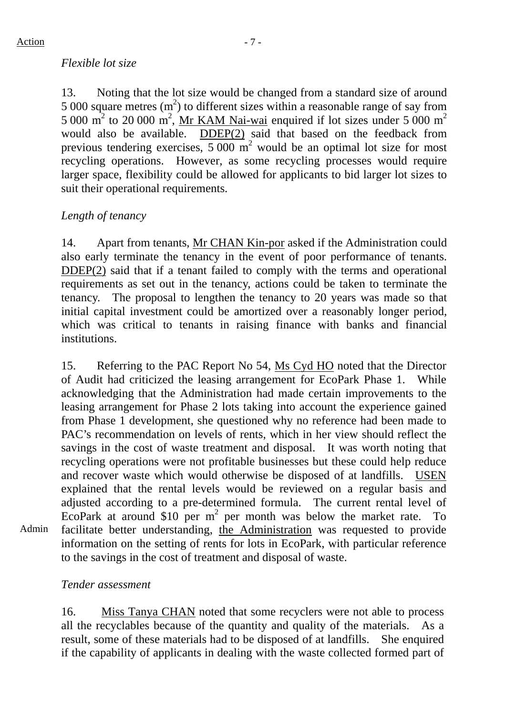13. Noting that the lot size would be changed from a standard size of around 5 000 square metres  $(m<sup>2</sup>)$  to different sizes within a reasonable range of say from 5 000  $\text{m}^2$  to 20 000  $\text{m}^2$ , Mr KAM Nai-wai enquired if lot sizes under 5 000  $\text{m}^2$ would also be available. DDEP(2) said that based on the feedback from previous tendering exercises,  $5000 \text{ m}^2$  would be an optimal lot size for most recycling operations. However, as some recycling processes would require larger space, flexibility could be allowed for applicants to bid larger lot sizes to suit their operational requirements.

# *Length of tenancy*

14. Apart from tenants, Mr CHAN Kin-por asked if the Administration could also early terminate the tenancy in the event of poor performance of tenants. DDEP(2) said that if a tenant failed to comply with the terms and operational requirements as set out in the tenancy, actions could be taken to terminate the tenancy. The proposal to lengthen the tenancy to 20 years was made so that initial capital investment could be amortized over a reasonably longer period, which was critical to tenants in raising finance with banks and financial institutions.

15. Referring to the PAC Report No 54, Ms Cyd HO noted that the Director of Audit had criticized the leasing arrangement for EcoPark Phase 1. While acknowledging that the Administration had made certain improvements to the leasing arrangement for Phase 2 lots taking into account the experience gained from Phase 1 development, she questioned why no reference had been made to PAC's recommendation on levels of rents, which in her view should reflect the savings in the cost of waste treatment and disposal. It was worth noting that recycling operations were not profitable businesses but these could help reduce and recover waste which would otherwise be disposed of at landfills. USEN explained that the rental levels would be reviewed on a regular basis and adjusted according to a pre-determined formula. The current rental level of EcoPark at around  $$10$  per m<sup>2</sup> per month was below the market rate. To facilitate better understanding, the Administration was requested to provide information on the setting of rents for lots in EcoPark, with particular reference to the savings in the cost of treatment and disposal of waste.

## *Tender assessment*

Admin

16. Miss Tanya CHAN noted that some recyclers were not able to process all the recyclables because of the quantity and quality of the materials. As a result, some of these materials had to be disposed of at landfills. She enquired if the capability of applicants in dealing with the waste collected formed part of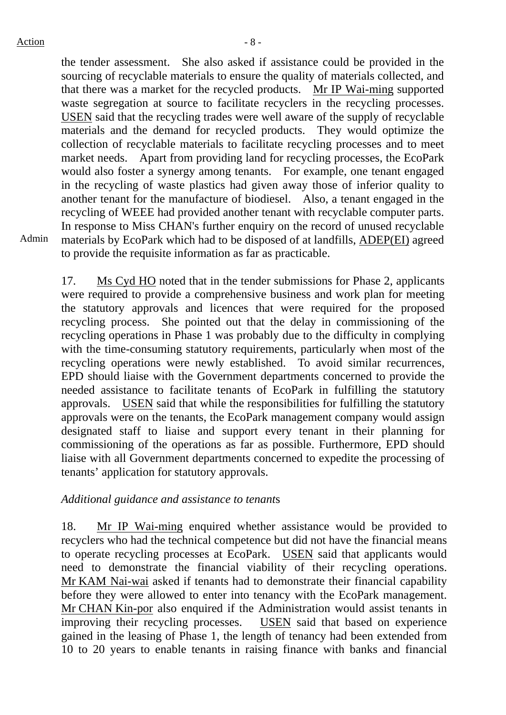the tender assessment. She also asked if assistance could be provided in the sourcing of recyclable materials to ensure the quality of materials collected, and that there was a market for the recycled products. Mr IP Wai-ming supported waste segregation at source to facilitate recyclers in the recycling processes. USEN said that the recycling trades were well aware of the supply of recyclable materials and the demand for recycled products. They would optimize the collection of recyclable materials to facilitate recycling processes and to meet market needs. Apart from providing land for recycling processes, the EcoPark would also foster a synergy among tenants. For example, one tenant engaged in the recycling of waste plastics had given away those of inferior quality to another tenant for the manufacture of biodiesel. Also, a tenant engaged in the recycling of WEEE had provided another tenant with recyclable computer parts. In response to Miss CHAN's further enquiry on the record of unused recyclable materials by EcoPark which had to be disposed of at landfills, ADEP(EI) agreed to provide the requisite information as far as practicable.

Admin

17. Ms Cyd HO noted that in the tender submissions for Phase 2, applicants were required to provide a comprehensive business and work plan for meeting the statutory approvals and licences that were required for the proposed recycling process. She pointed out that the delay in commissioning of the recycling operations in Phase 1 was probably due to the difficulty in complying with the time-consuming statutory requirements, particularly when most of the recycling operations were newly established. To avoid similar recurrences, EPD should liaise with the Government departments concerned to provide the needed assistance to facilitate tenants of EcoPark in fulfilling the statutory approvals. USEN said that while the responsibilities for fulfilling the statutory approvals were on the tenants, the EcoPark management company would assign designated staff to liaise and support every tenant in their planning for commissioning of the operations as far as possible. Furthermore, EPD should liaise with all Government departments concerned to expedite the processing of tenants' application for statutory approvals.

#### *Additional guidance and assistance to tenant*s

18. Mr IP Wai-ming enquired whether assistance would be provided to recyclers who had the technical competence but did not have the financial means to operate recycling processes at EcoPark. USEN said that applicants would need to demonstrate the financial viability of their recycling operations. Mr KAM Nai-wai asked if tenants had to demonstrate their financial capability before they were allowed to enter into tenancy with the EcoPark management. Mr CHAN Kin-por also enquired if the Administration would assist tenants in improving their recycling processes. USEN said that based on experience gained in the leasing of Phase 1, the length of tenancy had been extended from 10 to 20 years to enable tenants in raising finance with banks and financial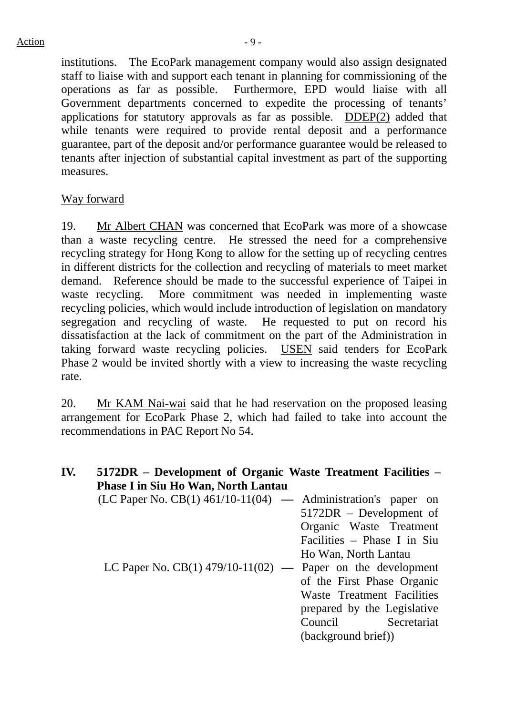institutions. The EcoPark management company would also assign designated staff to liaise with and support each tenant in planning for commissioning of the operations as far as possible. Furthermore, EPD would liaise with all Government departments concerned to expedite the processing of tenants' applications for statutory approvals as far as possible. DDEP(2) added that while tenants were required to provide rental deposit and a performance guarantee, part of the deposit and/or performance guarantee would be released to tenants after injection of substantial capital investment as part of the supporting measures.

## Way forward

19. Mr Albert CHAN was concerned that EcoPark was more of a showcase than a waste recycling centre. He stressed the need for a comprehensive recycling strategy for Hong Kong to allow for the setting up of recycling centres in different districts for the collection and recycling of materials to meet market demand. Reference should be made to the successful experience of Taipei in waste recycling. More commitment was needed in implementing waste recycling policies, which would include introduction of legislation on mandatory segregation and recycling of waste. He requested to put on record his dissatisfaction at the lack of commitment on the part of the Administration in taking forward waste recycling policies. USEN said tenders for EcoPark Phase 2 would be invited shortly with a view to increasing the waste recycling rate.

20. Mr KAM Nai-wai said that he had reservation on the proposed leasing arrangement for EcoPark Phase 2, which had failed to take into account the recommendations in PAC Report No 54.

| IV. | 5172DR – Development of Organic Waste Treatment Facilities –<br><b>Phase I in Siu Ho Wan, North Lantau</b> |                                                                                                                                                                                           |
|-----|------------------------------------------------------------------------------------------------------------|-------------------------------------------------------------------------------------------------------------------------------------------------------------------------------------------|
|     | $(LC$ Paper No. $CB(1)$ 461/10-11(04) — Administration's paper on                                          | 5172DR – Development of<br>Organic Waste Treatment<br>Facilities - Phase I in Siu                                                                                                         |
|     | LC Paper No. CB(1) $479/10-11(02)$ —                                                                       | Ho Wan, North Lantau<br>Paper on the development<br>of the First Phase Organic<br>Waste Treatment Facilities<br>prepared by the Legislative<br>Council Secretariat<br>(background brief)) |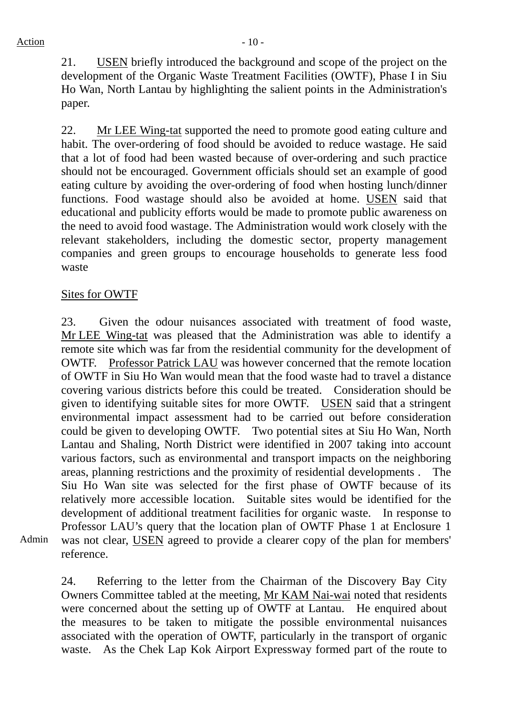21. USEN briefly introduced the background and scope of the project on the development of the Organic Waste Treatment Facilities (OWTF), Phase I in Siu Ho Wan, North Lantau by highlighting the salient points in the Administration's paper.

22. Mr LEE Wing-tat supported the need to promote good eating culture and habit. The over-ordering of food should be avoided to reduce wastage. He said that a lot of food had been wasted because of over-ordering and such practice should not be encouraged. Government officials should set an example of good eating culture by avoiding the over-ordering of food when hosting lunch/dinner functions. Food wastage should also be avoided at home. USEN said that educational and publicity efforts would be made to promote public awareness on the need to avoid food wastage. The Administration would work closely with the relevant stakeholders, including the domestic sector, property management companies and green groups to encourage households to generate less food waste

## Sites for OWTF

23. Given the odour nuisances associated with treatment of food waste, Mr LEE Wing-tat was pleased that the Administration was able to identify a remote site which was far from the residential community for the development of OWTF. Professor Patrick LAU was however concerned that the remote location of OWTF in Siu Ho Wan would mean that the food waste had to travel a distance covering various districts before this could be treated. Consideration should be given to identifying suitable sites for more OWTF. USEN said that a stringent environmental impact assessment had to be carried out before consideration could be given to developing OWTF. Two potential sites at Siu Ho Wan, North Lantau and Shaling, North District were identified in 2007 taking into account various factors, such as environmental and transport impacts on the neighboring areas, planning restrictions and the proximity of residential developments . The Siu Ho Wan site was selected for the first phase of OWTF because of its relatively more accessible location. Suitable sites would be identified for the development of additional treatment facilities for organic waste. In response to Professor LAU's query that the location plan of OWTF Phase 1 at Enclosure 1 was not clear, USEN agreed to provide a clearer copy of the plan for members' reference.

Admin

24. Referring to the letter from the Chairman of the Discovery Bay City Owners Committee tabled at the meeting, Mr KAM Nai-wai noted that residents were concerned about the setting up of OWTF at Lantau. He enquired about the measures to be taken to mitigate the possible environmental nuisances associated with the operation of OWTF, particularly in the transport of organic waste. As the Chek Lap Kok Airport Expressway formed part of the route to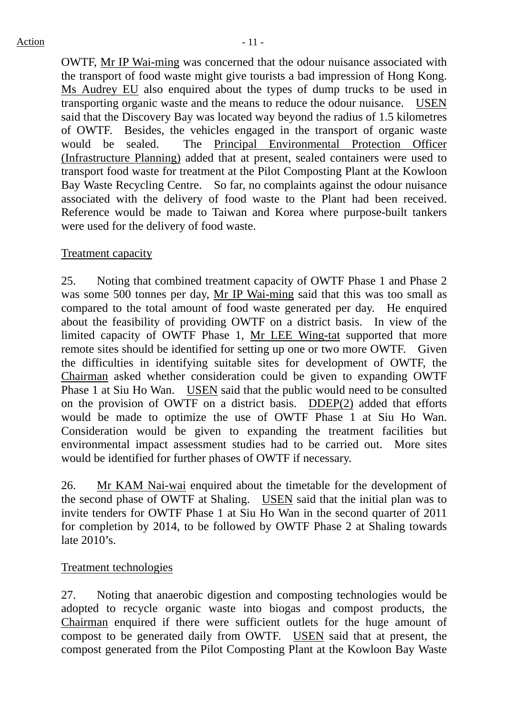OWTF, Mr IP Wai-ming was concerned that the odour nuisance associated with the transport of food waste might give tourists a bad impression of Hong Kong. Ms Audrey EU also enquired about the types of dump trucks to be used in transporting organic waste and the means to reduce the odour nuisance. USEN said that the Discovery Bay was located way beyond the radius of 1.5 kilometres of OWTF. Besides, the vehicles engaged in the transport of organic waste would be sealed. The Principal Environmental Protection Officer (Infrastructure Planning) added that at present, sealed containers were used to transport food waste for treatment at the Pilot Composting Plant at the Kowloon Bay Waste Recycling Centre. So far, no complaints against the odour nuisance associated with the delivery of food waste to the Plant had been received. Reference would be made to Taiwan and Korea where purpose-built tankers were used for the delivery of food waste.

## Treatment capacity

25. Noting that combined treatment capacity of OWTF Phase 1 and Phase 2 was some 500 tonnes per day, Mr IP Wai-ming said that this was too small as compared to the total amount of food waste generated per day. He enquired about the feasibility of providing OWTF on a district basis. In view of the limited capacity of OWTF Phase 1, Mr LEE Wing-tat supported that more remote sites should be identified for setting up one or two more OWTF. Given the difficulties in identifying suitable sites for development of OWTF, the Chairman asked whether consideration could be given to expanding OWTF Phase 1 at Siu Ho Wan. USEN said that the public would need to be consulted on the provision of OWTF on a district basis. DDEP(2) added that efforts would be made to optimize the use of OWTF Phase 1 at Siu Ho Wan. Consideration would be given to expanding the treatment facilities but environmental impact assessment studies had to be carried out. More sites would be identified for further phases of OWTF if necessary.

26. Mr KAM Nai-wai enquired about the timetable for the development of the second phase of OWTF at Shaling. USEN said that the initial plan was to invite tenders for OWTF Phase 1 at Siu Ho Wan in the second quarter of 2011 for completion by 2014, to be followed by OWTF Phase 2 at Shaling towards late 2010's.

## Treatment technologies

27. Noting that anaerobic digestion and composting technologies would be adopted to recycle organic waste into biogas and compost products, the Chairman enquired if there were sufficient outlets for the huge amount of compost to be generated daily from OWTF. USEN said that at present, the compost generated from the Pilot Composting Plant at the Kowloon Bay Waste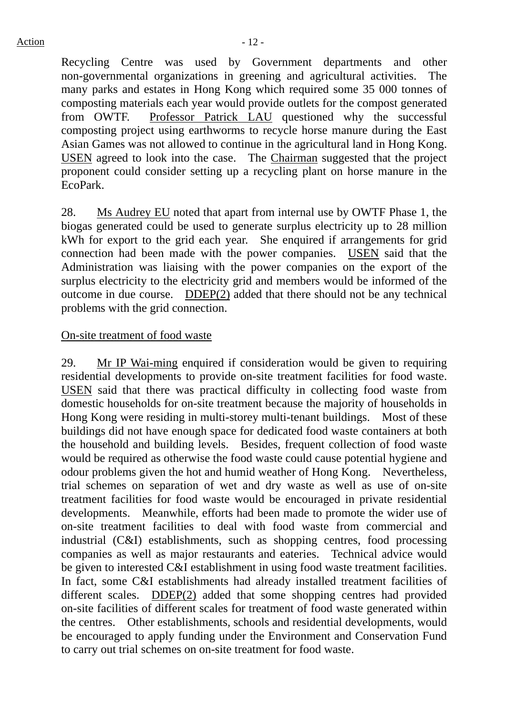Recycling Centre was used by Government departments and other non-governmental organizations in greening and agricultural activities. The many parks and estates in Hong Kong which required some 35 000 tonnes of composting materials each year would provide outlets for the compost generated from OWTF. Professor Patrick LAU questioned why the successful composting project using earthworms to recycle horse manure during the East Asian Games was not allowed to continue in the agricultural land in Hong Kong. USEN agreed to look into the case. The Chairman suggested that the project proponent could consider setting up a recycling plant on horse manure in the EcoPark.

28. Ms Audrey EU noted that apart from internal use by OWTF Phase 1, the biogas generated could be used to generate surplus electricity up to 28 million kWh for export to the grid each year. She enquired if arrangements for grid connection had been made with the power companies. USEN said that the Administration was liaising with the power companies on the export of the surplus electricity to the electricity grid and members would be informed of the outcome in due course. DDEP(2) added that there should not be any technical problems with the grid connection.

#### On-site treatment of food waste

29. Mr IP Wai-ming enquired if consideration would be given to requiring residential developments to provide on-site treatment facilities for food waste. USEN said that there was practical difficulty in collecting food waste from domestic households for on-site treatment because the majority of households in Hong Kong were residing in multi-storey multi-tenant buildings. Most of these buildings did not have enough space for dedicated food waste containers at both the household and building levels. Besides, frequent collection of food waste would be required as otherwise the food waste could cause potential hygiene and odour problems given the hot and humid weather of Hong Kong. Nevertheless, trial schemes on separation of wet and dry waste as well as use of on-site treatment facilities for food waste would be encouraged in private residential developments. Meanwhile, efforts had been made to promote the wider use of on-site treatment facilities to deal with food waste from commercial and industrial (C&I) establishments, such as shopping centres, food processing companies as well as major restaurants and eateries. Technical advice would be given to interested C&I establishment in using food waste treatment facilities. In fact, some C&I establishments had already installed treatment facilities of different scales. DDEP(2) added that some shopping centres had provided on-site facilities of different scales for treatment of food waste generated within the centres. Other establishments, schools and residential developments, would be encouraged to apply funding under the Environment and Conservation Fund to carry out trial schemes on on-site treatment for food waste.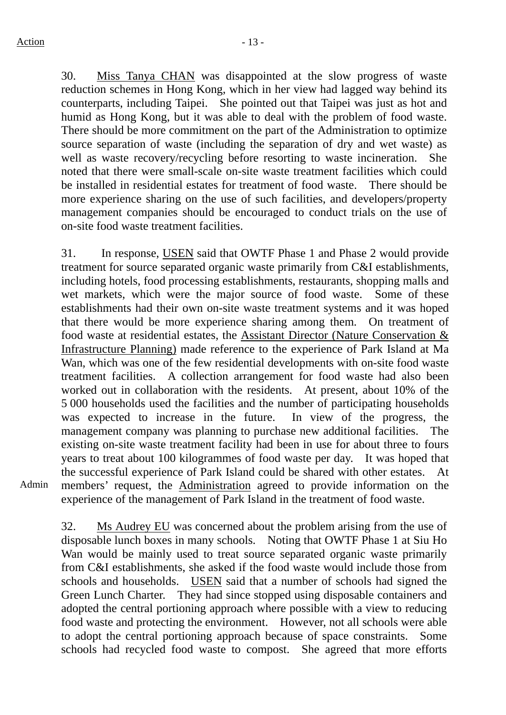30. Miss Tanya CHAN was disappointed at the slow progress of waste reduction schemes in Hong Kong, which in her view had lagged way behind its counterparts, including Taipei. She pointed out that Taipei was just as hot and humid as Hong Kong, but it was able to deal with the problem of food waste. There should be more commitment on the part of the Administration to optimize source separation of waste (including the separation of dry and wet waste) as well as waste recovery/recycling before resorting to waste incineration. She noted that there were small-scale on-site waste treatment facilities which could be installed in residential estates for treatment of food waste. There should be more experience sharing on the use of such facilities, and developers/property management companies should be encouraged to conduct trials on the use of on-site food waste treatment facilities.

31. In response, USEN said that OWTF Phase 1 and Phase 2 would provide treatment for source separated organic waste primarily from C&I establishments, including hotels, food processing establishments, restaurants, shopping malls and wet markets, which were the major source of food waste. Some of these establishments had their own on-site waste treatment systems and it was hoped that there would be more experience sharing among them. On treatment of food waste at residential estates, the Assistant Director (Nature Conservation & Infrastructure Planning) made reference to the experience of Park Island at Ma Wan, which was one of the few residential developments with on-site food waste treatment facilities. A collection arrangement for food waste had also been worked out in collaboration with the residents. At present, about 10% of the 5 000 households used the facilities and the number of participating households was expected to increase in the future. In view of the progress, the management company was planning to purchase new additional facilities. The existing on-site waste treatment facility had been in use for about three to fours years to treat about 100 kilogrammes of food waste per day. It was hoped that the successful experience of Park Island could be shared with other estates. members' request, the Administration agreed to provide information on the experience of the management of Park Island in the treatment of food waste.

Admin

32. Ms Audrey EU was concerned about the problem arising from the use of disposable lunch boxes in many schools. Noting that OWTF Phase 1 at Siu Ho Wan would be mainly used to treat source separated organic waste primarily from C&I establishments, she asked if the food waste would include those from schools and households. USEN said that a number of schools had signed the Green Lunch Charter. They had since stopped using disposable containers and adopted the central portioning approach where possible with a view to reducing food waste and protecting the environment. However, not all schools were able to adopt the central portioning approach because of space constraints. Some schools had recycled food waste to compost. She agreed that more efforts